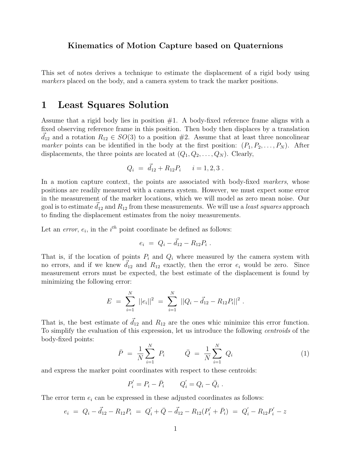#### Kinematics of Motion Capture based on Quaternions

This set of notes derives a technique to estimate the displacement of a rigid body using markers placed on the body, and a camera system to track the marker positions.

# 1 Least Squares Solution

Assume that a rigid body lies in position  $#1$ . A body-fixed reference frame aligns with a fixed observing reference frame in this position. Then body then displaces by a translation  $d_{12}$  and a rotation  $R_{12} \in SO(3)$  to a position #2. Assume that at least three noncolinear marker points can be identified in the body at the first position:  $(P_1, P_2, \ldots, P_N)$ . After displacements, the three points are located at  $(Q_1, Q_2, \ldots, Q_N)$ . Clearly,

$$
Q_i = \vec{d}_{12} + R_{12}P_i \qquad i = 1, 2, 3 \; .
$$

In a motion capture context, the points are associated with body-fixed markers, whose positions are readily measured with a camera system. However, we must expect some error in the measurement of the marker locations, which we will model as zero mean noise. Our goal is to estimate  $d_{12}$  and  $R_{12}$  from these measurements. We will use a *least squares* approach to finding the displacement estimates from the noisy measurements.

Let an *error*,  $e_i$ , in the  $i^{th}$  point coordinate be defined as follows:

$$
e_i = Q_i - \vec{d}_{12} - R_{12}P_i \; .
$$

That is, if the location of points  $P_i$  and  $Q_i$  where measured by the camera system with no errors, and if we knew  $d_{12}$  and  $R_{12}$  exactly, then the error  $e_i$  would be zero. Since measurement errors must be expected, the best estimate of the displacement is found by minimizing the following error:

$$
E = \sum_{i=1}^{N} ||e_i||^2 = \sum_{i=1}^{N} ||Q_i - \vec{d}_{12} - R_{12}P_i||^2.
$$

That is, the best estimate of  $\vec{d}_{12}$  and  $R_{12}$  are the ones whic minimize this error function. To simplify the evaluation of this expression, let us introduce the following centroids of the body-fixed points:

$$
\bar{P} = \frac{1}{N} \sum_{i=1}^{N} P_i \qquad \bar{Q} = \frac{1}{N} \sum_{i=1}^{N} Q_i \tag{1}
$$

and express the marker point coordinates with respect to these centroids:

$$
P_i' = P_i - \bar{P}_i \qquad Q_i' = Q_i - \bar{Q}_i .
$$

The error term  $e_i$  can be expressed in these adjusted coordinates as follows:

$$
e_i = Q_i - \vec{d}_{12} - R_{12}P_i = Q'_i + \bar{Q} - \vec{d}_{12} - R_{12}(P'_i + \bar{P}_i) = Q'_i - R_{12}P'_i - z
$$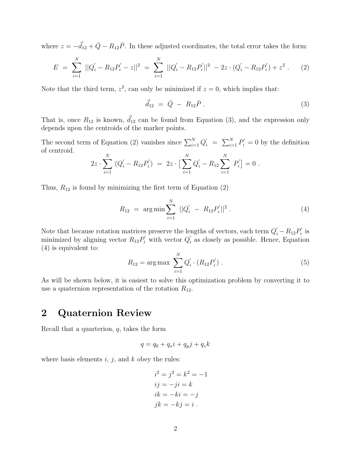where  $z = -\vec{d}_{12} + \bar{Q} - R_{12}\bar{P}$ . In these adjusted coordinates, the total error takes the form:

$$
E = \sum_{i=1}^{N} ||Q'_i - R_{12}P'_i - z||^2 = \sum_{i=1}^{N} ||Q'_i - R_{12}P'_i||^2 - 2z \cdot (Q'_i - R_{12}P'_i) + z^2.
$$
 (2)

Note that the third term,  $z^2$ , can only be minimized if  $z = 0$ , which implies that:

$$
\vec{d}_{12} = \bar{Q} - R_{12}\bar{P} \tag{3}
$$

That is, once  $R_{12}$  is known,  $\vec{d}_{12}$  can be found from Equation (3), and the expression only depends upon the centroids of the marker points.

The second term of Equation (2) vanishes since  $\sum_{i=1}^{N} Q'_{i} = \sum_{i=1}^{N} P'_{i} = 0$  by the definition of centroid.

$$
2z \cdot \sum_{i=1}^{N} (Q'_{i} - R_{12}P'_{i}) = 2z \cdot \left[\sum_{i=1}^{N} Q'_{i} - R_{12} \sum_{i=1}^{N} P'_{i}\right] = 0.
$$

Thus,  $R_{12}$  is found by minimizing the first term of Equation (2)

$$
R_{12} = \arg\min \sum_{i=1}^{N} ||Q'_i - R_{12}P'_i||^2.
$$
 (4)

Note that because rotation matrices preserve the lengths of vectors, each term  $Q_i' - R_{12}P_i'$  $_i'$  is minimized by aligning vector  $R_{12}P'_i$  with vector  $Q'_i$  $i<sub>i</sub>$  as closely as possible. Hence, Equation (4) is equivalent to:

$$
R_{12} = \arg \max \sum_{i=1}^{N} Q_i' \cdot (R_{12} P_i') . \qquad (5)
$$

As will be shown below, it is easiest to solve this optimization problem by converting it to use a quaternion representation of the rotation  $R_{12}$ .

### 2 Quaternion Review

Recall that a quarterion,  $q$ , takes the form

$$
q = q_0 + q_x i + q_y j + q_z k
$$

where basis elements  $i, j$ , and  $k$  obey the rules:

$$
i2 = j2 = k2 = -1
$$
  
\n
$$
ij = -ji = k
$$
  
\n
$$
ik = -ki = -j
$$
  
\n
$$
jk = -kj = i
$$
.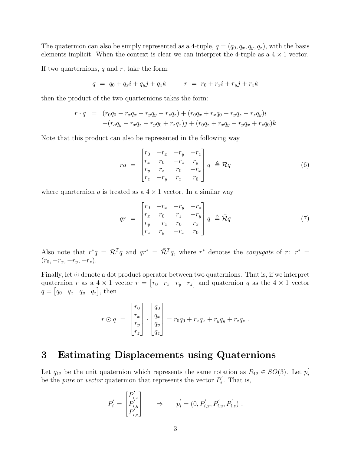The quaternion can also be simply represented as a 4-tuple,  $q = (q_0, q_x, q_y, q_z)$ , with the basis elements implicit. When the context is clear we can interpret the 4-tuple as a  $4 \times 1$  vector.

If two quarternions,  $q$  and  $r$ , take the form:

$$
q = q_0 + q_x i + q_y j + q_z k \qquad r = r_0 + r_x i + r_y j + r_z k
$$

then the product of the two quarternions takes the form:

$$
r \cdot q = (r_0q_0 - r_xq_x - r_yq_y - r_zq_z) + (r_0q_x + r_xq_0 + r_yq_z - r_zq_y)i
$$
  
+
$$
(r_0q_y - r_xq_z + r_yq_0 + r_zq_x)j + (r_0q_z + r_xq_y - r_yq_x + r_zq_0)k
$$

Note that this product can also be represented in the following way

$$
rq = \begin{bmatrix} r_0 & -r_x & -r_y & -r_z \\ r_x & r_0 & -r_z & r_y \\ r_y & r_z & r_0 & -r_x \\ r_z & -r_y & r_x & r_0 \end{bmatrix} q \triangleq \mathcal{R} q
$$
(6)

where quarternion q is treated as a  $4 \times 1$  vector. In a similar way

$$
qr = \begin{bmatrix} r_0 & -r_x & -r_y & -r_z \\ r_x & r_0 & r_z & -r_y \\ r_y & -r_z & r_0 & r_x \\ r_z & r_y & -r_x & r_0 \end{bmatrix} q \triangleq \bar{\mathcal{R}}q
$$
 (7)

Also note that  $r^*q = \mathcal{R}^T q$  and  $qr^* = \overline{\mathcal{R}}^T q$ , where  $r^*$  denotes the *conjugate* of  $r: r^* =$  $(r_0, -r_x, -r_y, -r_z).$ 

Finally, let  $\odot$  denote a dot product operator between two quaternions. That is, if we interpret quaternion r as a  $4 \times 1$  vector  $r = \begin{bmatrix} r_0 & r_x & r_y & r_z \end{bmatrix}$  and quaternion q as the  $4 \times 1$  vector  $q = \begin{bmatrix} q_0 & q_x & q_y & q_z \end{bmatrix}$ , then

$$
r \odot q = \begin{bmatrix} r_0 \\ r_x \\ r_y \\ r_z \end{bmatrix} \cdot \begin{bmatrix} q_0 \\ q_x \\ q_y \\ q_z \end{bmatrix} = r_0 q_0 + r_x q_x + r_y q_y + r_z q_z.
$$

### 3 Estimating Displacements using Quaternions

Let  $q_{12}$  be the unit quaternion which represents the same rotation as  $R_{12} \in SO(3)$ . Let  $p'_i$ i be the *pure* or *vector* quaternion that represents the vector  $P'_i$  $b_i'$ . That is,

$$
P'_{i} = \begin{bmatrix} P'_{i,x} \\ P'_{i,y} \\ P'_{i,z} \end{bmatrix} \Rightarrow p'_{i} = (0, P'_{i,x}, P'_{i,y}, P'_{i,z}) .
$$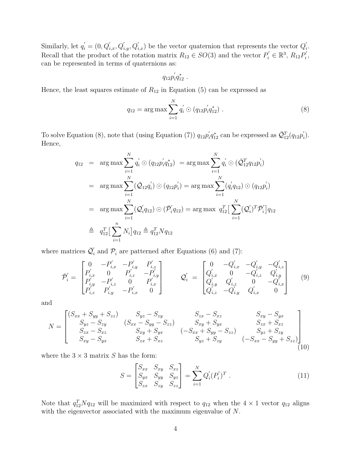Similarly, let  $q'_{i} = (0, Q'_{i,x}, Q'_{i,y}, Q'_{i,x})$  be the vector quaternion that represents the vector  $Q'_{i}$ i . Recall that the product of the rotation matrix  $R_{12} \in SO(3)$  and the vector  $P'_i \in \mathbb{R}^3$ ,  $R_{12}P'_i$  $_i^{\prime}$  , can be represented in terms of quaternions as:

$$
q_{12}p_{i}^{'}q_{12}^{*} \ .
$$

Hence, the least squares estimate of  $R_{12}$  in Equation (5) can be expressed as

$$
q_{12} = \arg \max \sum_{i=1}^{N} q'_i \odot (q_{12} p'_i q^*_{12}). \qquad (8)
$$

To solve Equation (8), note that (using Equation (7))  $q_{12}p'_i$  $\bar{q}_{12}^*$  can be expressed as  $\bar{\mathcal{Q}}_{12}^T(q_{12}p'_2)$  $i^{'})$ . Hence,

$$
q_{12} = \arg \max \sum_{i=1}^{N} q'_i \odot (q_{12} p'_i q_{12}^*) = \arg \max \sum_{i=1}^{N} q'_i \odot (\bar{Q}_{12}^T q_{12} p'_i)
$$
  
\n
$$
= \arg \max \sum_{i=1}^{N} (\bar{Q}_{12} q'_i) \odot (q_{12} p'_i) = \arg \max \sum_{i=1}^{N} (q'_i q_{12}) \odot (q_{12} p'_i)
$$
  
\n
$$
= \arg \max \sum_{i=1}^{N} (\bar{Q}'_i q_{12}) \odot (\bar{P}'_i q_{12}) = \arg \max \ q_{12}^T \Big[ \sum_{i=1}^{N} (\bar{Q}'_i)^T \bar{P}'_i \Big] q_{12}
$$
  
\n
$$
\triangleq q_{12}^T \Big[ \sum_{i=1}^{n} N_i \Big] q_{12} \triangleq q_{12}^T N q_{12}
$$

where matrices  $\bar{\mathcal{Q}}'_i$  $\gamma_i$  and  $\mathcal{P}_i$  are patterned after Equations (6) and (7):

$$
\bar{\mathcal{P}}'_{i} = \begin{bmatrix}\n0 & -P'_{i,x} & -P'_{i,y} & P'_{i,z} \\
P'_{i,x} & 0 & P'_{i,z} & -P'_{i,y} \\
P'_{i,y} & -P'_{i,z} & 0 & P'_{i,x} \\
P'_{i,z} & P'_{i,y} & -P'_{i,x} & 0\n\end{bmatrix}\n\qquad\n\mathcal{Q}'_{i} = \begin{bmatrix}\n0 & -Q'_{i,x} & -Q'_{i,y} & -Q'_{i,z} \\
Q'_{i,x} & 0 & -Q'_{i,z} & Q'_{i,y} \\
Q'_{i,y} & Q'_{i,z} & 0 & -Q'_{i,x} \\
Q'_{i,z} & -Q'_{i,y} & Q'_{i,x} & 0\n\end{bmatrix} \n(9)
$$

and

$$
N = \begin{bmatrix} (S_{xx} + S_{yy} + S_{zz}) & S_{yz} - S_{zy} & S_{zx} - S_{xz} & S_{xy} - S_{yx} \\ S_{yz} - S_{zy} & (S_{xx} - S_{yy} - S_{zz}) & S_{xy} + S_{yx} & S_{zx} + S_{xz} \\ S_{zx} - S_{xz} & S_{xy} + S_{yx} & (-S_{xx} + S_{yy} - S_{zz}) & S_{yz} + S_{zy} \\ S_{xy} - S_{yx} & S_{zx} + S_{xz} & S_{yz} + S_{zy} & (-S_{xx} - S_{yy} + S_{zz}) \end{bmatrix}
$$
(10)

where the  $3 \times 3$  matrix S has the form:

$$
S = \begin{bmatrix} S_{xx} & S_{xy} & S_{xz} \\ S_{yx} & S_{yy} & S_{yz} \\ S_{zx} & S_{zy} & S_{zz} \end{bmatrix} = \sum_{i=1}^{N} Q_i'(P_i')^T \tag{11}
$$

Note that  $q_{12}^T N q_{12}$  will be maximized with respect to  $q_{12}$  when the  $4 \times 1$  vector  $q_{12}$  aligns with the eigenvector associated with the maximum eigenvalue of N.